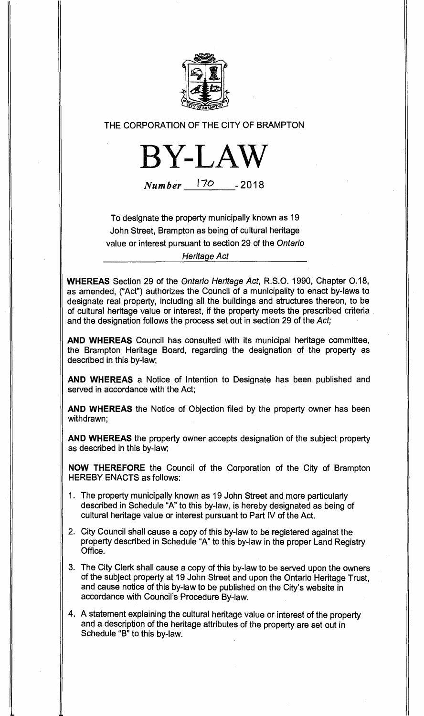

# THE CORPORATION OF THE CITY OF BRAMPTON



Number 170 **-2018** 

To designate the property municipally known as 19 John Street, Brampton as being of cultural heritage value or interest pursuant to section 29 of the Ontario

Heritage Act

**WHEREAS** Section 29 of the Ontario Heritage Act, R.S.O. 1990, Chapter 0.18, as amended, ("Act") authorizes the Council of a municipality to enact by-laws to designate real property, including all the buildings and structures thereon, to be of cultural heritage value or interest, if the property meets the prescribed criteria and the designation follows the process set out in section 29 of the Act;

**AND WHEREAS** Council has consulted with its municipal heritage committee, the Brampton Heritage Board, regarding the designation of the property as described in this by-law;

**AND WHEREAS** a Notice of Intention to Designate has been published and served in accordance with the Act;

**AND WHEREAS** the Notice of Objection filed by the property owner has been withdrawn;

**AND WHEREAS** the property owner accepts designation of the subject property as described in this by-law;

**NOW THEREFORE** the Council of the Corporation of the City of Brampton HEREBY ENACTS as follows:

- 1. The property municipally known as 19 John Street and more particularly described in Schedule "A" to this by-law, is hereby designated as being of cultural heritage value or interest pursuant to Part IV of the Act.
- 2. City Council shall cause a copy of this by-law to be registered against the property described in Schedule "A" to this by-law in the proper Land Registry Office.
- 3. The City Clerk shall cause a copy of this by-law to be served upon the owners of the subject property at 19 John Street and upon the Ontario Heritage Trust, and cause notice of this by-law to be published on the City's website in accordance with Council's Procedure By-law.
- 4. A statement explaining the cultural heritage value or interest of the property and a description of the heritage attributes of the property are set out in Schedule "B" to this by-law.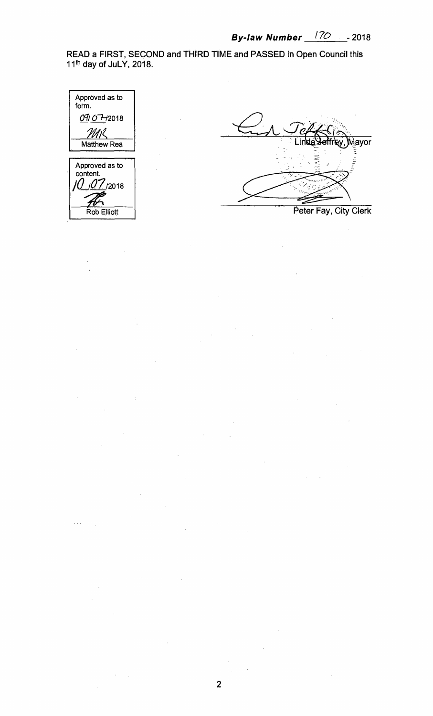**READ a FIRST, SECOND and THIRD TIME and PASSED in Open Council this 11th day of JuLY, 2018.** 

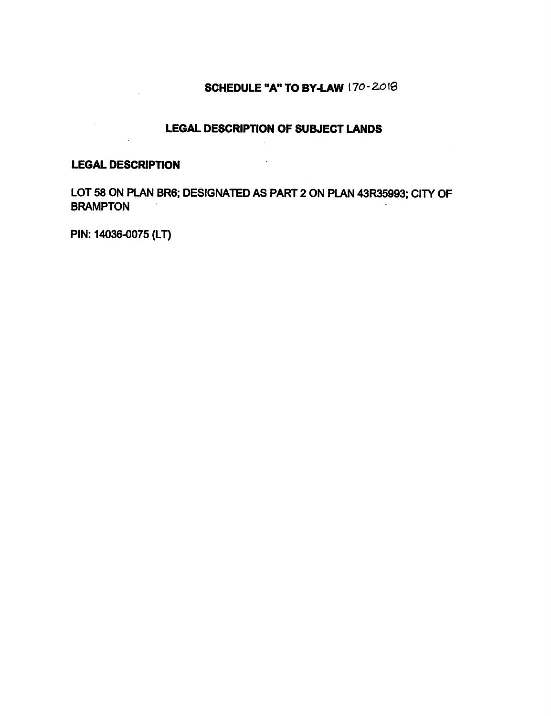## **SCHEDULE "A" TO BY-LAW** (7O-20

### **LEGAL DESCRIPTION OF SUBJECT LANDS**

### **LEGAL DESCRIPTION**

 $\sim$ 

LOT 58 ON PLAN BR6; DESIGNATED AS PART 2 ON PLAN 43R35993; CITY OF **BRAMPTON** 

 $\overline{\phantom{a}}$ 

PIN: 14036-0075 (LT)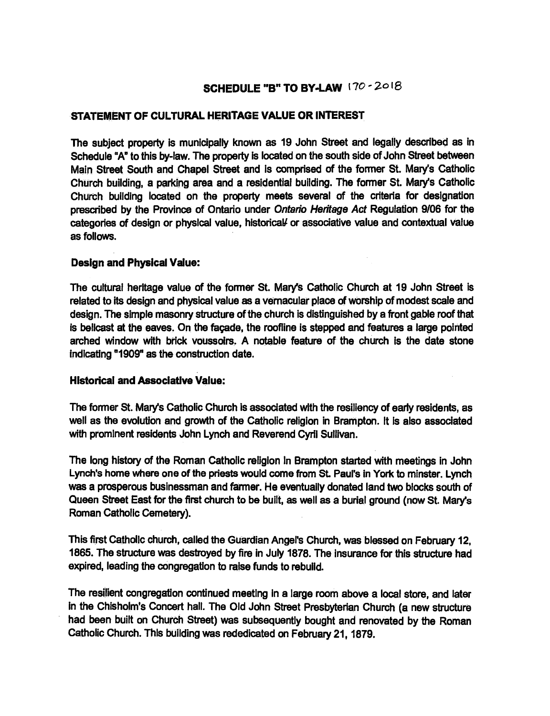### **SCHEDULE "B" TO BY-LAW 170 - 2018**

#### **STATEMENT OF CULTURAL HERITAGE VALUE OR INTEREST**

**The subject property is municipally known as 19 John Street and legally described as in Schedule "A" to this by-law. The property is located on the south side of John Street between Main Street South and Chapel Street and is comprised of the former St. Mary's Catholic Church building, a parking area and a residential building. The former St. Mary's Catholic Church building located on the property meets several of the criteria for designation prescribed by the Province of Ontario under Ontario Heritage Act Regulation 9/06 for the categories of design or physical value, historical/ or associative value and contextual value as follows.** 

#### **Design and Physical Value:**

**The cultural heritage value of the former St. Mary's Catholic Church at 19 John Street is related to its design and physical value as a vernacular place of worship of modest scale and design. The simple masonry structure of the church is distinguished by a front gable roof that is bellcast at the eaves. On the facade, the roofline is stepped and features a large pointed arched window with brick voussoirs. A notable feature of the church is the date stone indicating "1909" as the construction date.** 

#### **Historical and Associative Value:**

**The former St. Mary's Catholic Church is associated with the resiliency of early residents, as well as the evolution and growth of the Catholic religion in Brampton. It is also associated with prominent residents John Lynch and Reverend Cyril Sullivan.** 

**The long history of the Roman Catholic religion In Brampton started with meetings in John Lynch's home where one of the priests would come from St. Paul's in York to minter. Lynch was a prosperous businessman and farmer. He eventually donated land two blocks south of Queen Street East for the first church to be built, as well as a burial ground (now St. Mary's Roman Catholic Cemetery).** 

**This first Catholic church, called the Guardian Angel's Church, was blessed on February 12, 1865. The structure was destroyed by fire in July 1878. The insurance for this structure had expired, leading the congregation to raise funds to rebuild.** 

**The resilient congregation continued meeting in a large room above a local store, and later in the Chisholm's Concert hall. The Old John Street Presbyterian Church (a new structure had been built on Church Street) was subsequently bought and renovated by the Roman Catholic Church. This building was rededicated on February 21, 1879.**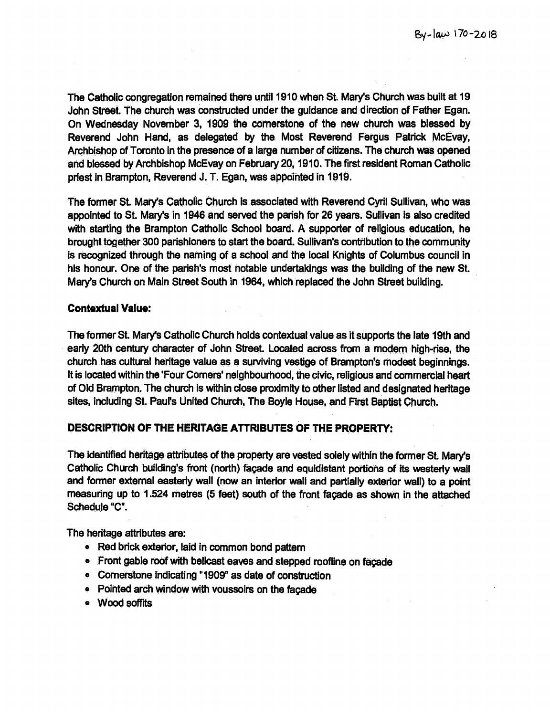The Catholic congregation remained there until 1910 when St. Mary's Church was built at 19 John Street The church was constructed under the guidance and direction of Father Egan. On Wednesday November 3, 1909 the cornerstone of the new church was blessed by Reverend John Hand, as delegated by the Most Reverend Fergus Patrick McEvay, Archbishop of Toronto in the presence of a large number of citizens. The church was opened and blessed by Archbishop McEvay on February 20, 1910. The first resident Roman Catholic priest in Brampton, Reverend J. T. Egan, was appointed in 1919.

The former St. Mary's Catholic Church is associated with Reverend Cyril Sullivan, who was appointed to St. Mary's in 1946 and served the parish for 26 years. Sullivan is also credited with starting the Brampton Catholic School board. A supporter of religious education, he brought together 300 parishioners to start the board. Sullivan's contribution to the community is recognized through the naming of a school and the local Knights of Columbus council in his honour. One of the parish's most notable undertakings was the building of the new St. Mary's Church on Main Street South in 1964, which replaced the John Street building.

#### **Contextual Value:**

The former St. Mary's Catholic Church holds contextual value as it supports the late 19th and early 20th century character of John Street. Located across from a modem high-rise, the church has cultural heritage value as a surviving vestige of Brampton's modest beginnings. It is located within the 'Four Corners' neighbourhood, the civic, religious and commercial heart of Old Brampton. The church is within close proximity to other listed and designated heritage sites, including St. Paul's United Church, The Boyle House, and First Baptist Church.

#### **DESCRIPTION OF THE HERITAGE ATTRIBUTES OF THE PROPERTY:**

The Identified heritage attributes of the property are vested solely within the former St. Mary's Catholic Church building's front (north) facade and equidistant portions of its westerly wail and former external easterly wall (now an interior wall and partially exterior wall) to a point measuring up to 1.524 metres (5 feet) south of the front facade as shown in the attached Schedule "C".

The heritage attributes are:

- Red brick exterior, laid in common bond pattern
- Front gable roof with bellcast eaves and stepped roofline on façade
- o Cornerstone Indicating "1909" as date of construction
- Pointed arch window with voussoirs on the facade
- e Wood soffits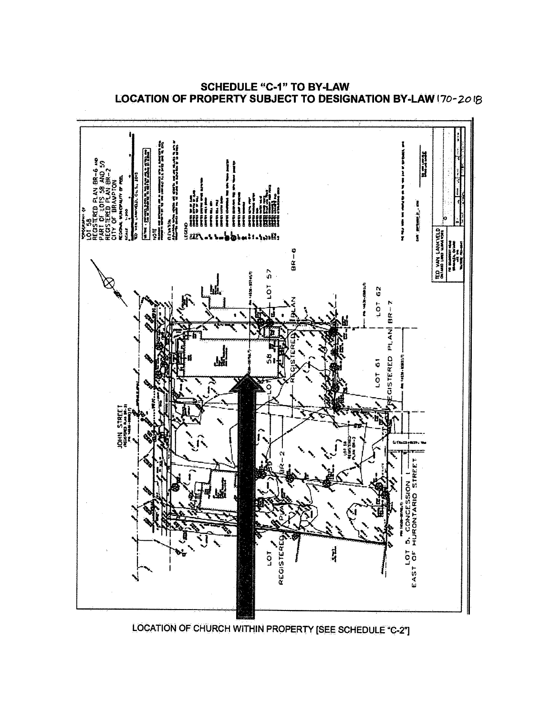

**SCHEDULE "C-1" TO BY-LAW LOCATION OF PROPERTY SUBJECT TO DESIGNATION BY-LAW (70-20 1\$**

**LOCATION OF CHURCH WITHIN PROPERTY [SEE SCHEDULE "C-21**